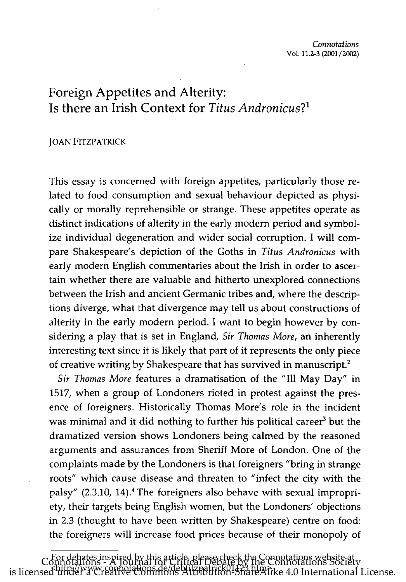# Foreign Appetites and Alterity: Is there an Irish Context for *Titus Andronicus?1*

# JOAN FITZPATRICK

\_\_\_\_\_\_\_\_\_\_\_\_\_\_\_

This essay is concerned with foreign appetites, particularly those related to food consumption and sexual behaviour depicted as physically or morally reprehensible or strange. These appetites operate as distinct indications of alterity in the early modern period and symbolize individual degeneration and wider social corruption. I will compare Shakespeare's depiction of the Goths in *Titus Andronicus* with early modern English commentaries about the Irish in order to ascertain whether there are valuable and hitherto unexplored connections between the Irish and ancient Germanic tribes and, where the descriptions diverge, what that divergence may tell us about constructions of alterity in the early modern period. I want to begin however by considering a play that is set in England, Sir *Thomas More,* an inherently interesting text since it is likely that part of it represents the only piece of creative writing by Shakespeare that has survived in manuscript.<sup>2</sup>

Sir *Thomas More* features a dramatisation of the "Ill May Day" in 1517, when a group of Londoners rioted in protest against the presence of foreigners. Historically Thomas More's role in the incident was minimal and it did nothing to further his political career<sup>3</sup> but the dramatized version shows Londoners being calmed by the reasoned arguments and assurances from Sheriff More of London. One of the complaints made by the Londoners is that foreigners "bring in strange roots" which cause disease and threaten to "infect the city with the palsy" (2.3.10, 14).<sup>4</sup> The foreigners also behave with sexual impropriety, their targets being English women, but the Londoners' objections in 2.3 (thought to have been written by Shakespeare) centre on food: the foreigners will increase food prices because of their monopoly of

For debates inspired by this article, please check the Connotations website at Connotations - A Journal for Critical Debate by the Connotations Society is licensed under a Creative Commons Attribution-ShareAlike 4.0 International License.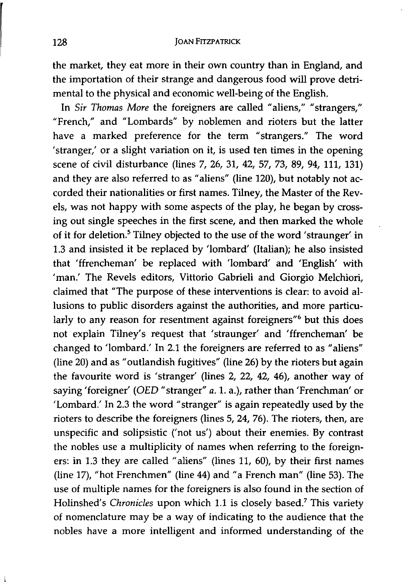the market, they eat more in their own country than in England, and the importation of their strange and dangerous food will prove detrimental to the physical and economic well-being of the English.

In *Sir Thomas More* the foreigners are called "aliens," "strangers," "French," and "Lombards" by noblemen and rioters but the latter have a marked preference for the term "strangers." The word 'stranger,' or a slight variation on it, is used ten times in the opening scene of civil disturbance (lines 7, 26, 31, 42, 57, 73, 89, 94, Ill, 131) and they are also referred to as "aliens" (line 120), but notably not accorded their nationalities or first names. Tilney, the Master of the Revels, was not happy with some aspects of the play, he began by crossing out single speeches in the first scene, and then marked the whole of it for deletion.<sup>5</sup> Tilney objected to the use of the word 'straunger' in 1.3 and insisted it be replaced by 'lombard' (Italian); he also insisted that 'ffrencheman' be replaced with 'lombard' and 'English' with 'man: The Revels editors, Vittorio Gabrieli and Giorgio Melchiori, claimed that "The purpose of these interventions is clear: to avoid allusions to public disorders against the authorities, and more particularly to any reason for resentment against foreigners"<sup>6</sup> but this does not explain Tilney's request that 'straunger' and 'ffrencheman' be changed to 'lombard: In 2.1 the foreigners are referred to as "aliens" (line 20) and as "outlandish fugitives" (line 26) by the rioters but again the favourite word is 'stranger' (lines 2, 22, 42, 46), another way of saying 'foreigner' (OED "stranger" *a.* 1. a.), rather than 'Frenchman' or 'Lombard.' In 2.3 the word "stranger" is again repeatedly used by the rioters to describe the foreigners (lines 5, 24, 76). The rioters, then, are unspecific and solipsistic ('not us') about their enemies. By contrast the nobles use a multiplicity of names when referring to the foreigners: in 1.3 they are called "aliens" (lines 11, 60), by their first names (line 17), "hot Frenchmen" (line 44) and "a French man" (line 53). The use of multiple names for the foreigners is also found in the section of Holinshed's *Chronicles* upon which 1.1 is closely based.7 This variety of nomenclature may be a way of indicating to the audience that the nobles have a more intelligent and informed understanding of the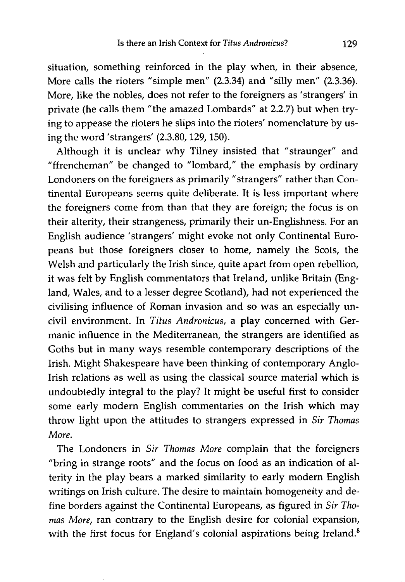situation, something reinforced in the play when, in their absence, More calls the rioters "simple men" (2.3.34) and "silly men" (2.3.36). More, like the nobles, does not refer to the foreigners as 'strangers' in private (he calls them" the amazed Lombards" at 2.2.7) but when trying to appease the rioters he slips into the rioters' nomenclature by using the word 'strangers' (2.3.80,129,150).

Although it is unclear why Tilney insisted that "straunger" and "ffrencheman" be changed to "lombard," the emphasis by ordinary Londoners on the foreigners as primarily "strangers" rather than Continental Europeans seems quite deliberate. It is less important where the foreigners come from than that they are foreign; the focus is on their alterity, their strangeness, primarily their un-Englishness. For an English audience' strangers' might evoke not only Continental Europeans but those foreigners closer to home, namely the Scots, the Welsh and particularly the Irish since, quite apart from open rebellion, it was felt by English commentators that Ireland, unlike Britain (England, Wales, and to a lesser degree Scotland), had not experienced the civilising influence of Roman invasion and so was an especially uncivil environment. In *Titus Andronicus,* a play concerned with Germanic influence in the Mediterranean, the strangers are identified as Goths but in many ways resemble contemporary descriptions of the Irish. Might Shakespeare have been thinking of contemporary Anglo-Irish relations as well as using the classical source material which is undoubtedly integral to the play? It might be useful first to consider some early modern English commentaries on the Irish which may throw light upon the attitudes to strangers expressed in *Sir Thomas More.* 

The Londoners in *Sir Thomas More* complain that the foreigners "bring in strange roots" and the focus on food as an indication of alterity in the play bears a marked similarity to early modern English writings on Irish culture. The desire to maintain homogeneity and define borders against the Continental Europeans, as figured in *Sir Thomas More,* ran contrary to the English desire for colonial expansion, with the first focus for England's colonial aspirations being Ireland.<sup>8</sup>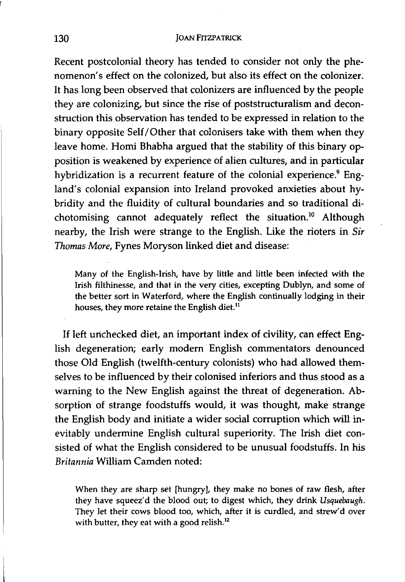Recent postcolonial theory has tended to consider not only the phenomenon's effect on the colonized, but also its effect on the colonizer. It has long been observed that colonizers are influenced by the people they are colonizing, but since the rise of poststructuralism and deconstruction this observation has tended to be expressed in relation to the binary opposite Self/Other that colonisers take with them when they leave home. Homi Bhabha argued that the stability of this binary opposition is weakened by experience of alien cultures, and in particular hybridization is a recurrent feature of the colonial experience.<sup>9</sup> England's colonial expansion into Ireland provoked anxieties about hybridity and the fluidity of cultural boundaries and so traditional dichotomising cannot adequately reflect the situation.<sup>10</sup> Although nearby, the Irish were strange to the English. Like the rioters in *Sir Thomas More,* Fynes Moryson linked diet and disease:

Many of the English-Irish, have by little and little been infected with the Irish filthinesse, and that in the very cities, excepting Dublyn, and some of the better sort in Waterford, where the English continually lodging in their houses, they more retaine the English diet.<sup>11</sup>

If left unchecked diet, an important index of civility, can effect English degeneration; early modern English commentators denounced those Old English (twelfth-century colonists) who had allowed themselves to be influenced by their colonised inferiors and thus stood as a warning to the New English against the threat of degeneration. Absorption of strange foodstuffs would, it was thought, make strange the English body and initiate a wider social corruption which will inevitably undermine English cultural superiority. The Irish diet consisted of what the English considered to be unusual foodstuffs. In his *Britannia* William Camden noted:

When they are sharp set [hungry], they make no bones of raw flesh, after they have squeez'd the blood out; to digest which, they drink *Usquebaugh.*  They let their cows blood too, which, after it is curdled, and strew'd over with butter, they eat with a good relish.<sup>12</sup>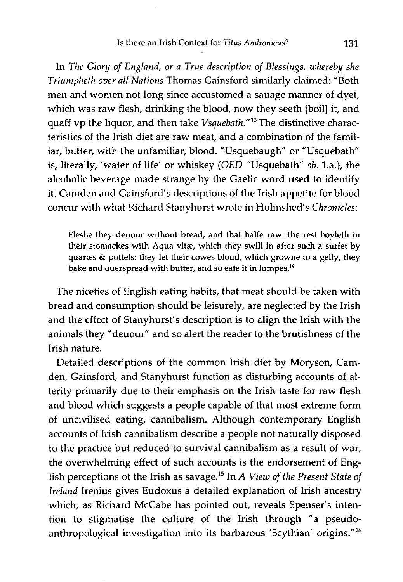In *The Glory of England, or a True description of Blessings, whereby she Triumpheth over all Nations* Thomas Gainsford similarly claimed: "Both men and women not long since accustomed a sauage manner of dyet, which was raw flesh, drinking the blood, now they seeth [boil] it, and quaff vp the liquor, and then take *Vsquebath."13* The distinctive characteristics of the Irish diet are raw meat, and a combination of the familiar, butter, with the unfamiliar, blood. "Usquebaugh" or "Usquebath" is, literally, 'water of life' or whiskey *(OED* "Usquebath" *sb.* La.), the alcoholic beverage made strange by the Gaelic word used to identify it. Camden and Gainsford's descriptions of the Irish appetite for blood concur with what Richard Stanyhurst wrote in Holinshed's *Chronicles:* 

Fleshe they deuour without bread, and that halfe raw: the rest boyleth in their stomackes with Aqua vitæ, which they swill in after such a surfet by quartes & pottels: they let their cowes bloud, which growne to a gelly, they bake and ouerspread with butter, and so eate it in lumpes. <sup>14</sup>

The niceties of English eating habits, that meat should be taken with bread and consumption should be leisurely, are neglected by the Irish and the effect of Stanyhurst's description is to align the Irish with the animals they" deuour" and so alert the reader to the brutishness of the Irish nature.

Detailed descriptions of the common Irish diet by Moryson, Camden, Gainsford, and Stanyhurst function as disturbing accounts of alterity primarily due to their emphasis on the Irish taste for raw flesh and blood which suggests a people capable of that most extreme form of uncivilised eating, cannibalism. Although contemporary English accounts of Irish cannibalism describe a people not naturally disposed to the practice but reduced to survival cannibalism as a result of war, the overwhelming effect of such accounts is the endorsement of English perceptions of the Irish as savage.<sup>15</sup> In *A View of the Present State of Ireland* Irenius gives Eudoxus a detailed explanation of Irish ancestry which, as Richard McCabe has pointed out, reveals Spenser's intention to stigmatise the culture of the Irish through "a pseudoanthropological investigation into its barbarous 'Scythian' origins."16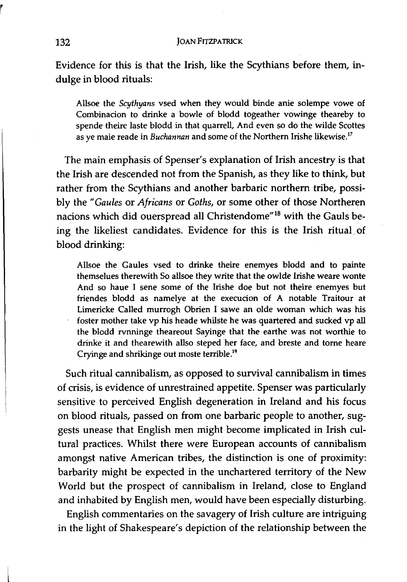Evidence for this is that the Irish, like the Scythians before them, indulge in blood rituals:

Allsoe the *Scythyans* vsed when they would binde anie solempe vowe of Combinacion to drinke a bowle of blodd togeather vowinge theareby to spende theire laste blodd in that quarrell, And even so do the wilde Scottes as ye maie reade in *Buchannan* and some of the Northern Irishe likewise.17

The main emphasis of Spenser's explanation of Irish ancestry is that the Irish are descended not from the Spanish, as they like to think, but rather from the Scythians and another barbaric northern tribe, possibly the" *Gaules* or *Africans* or *Goths,* or some other of those Northeren nacions which did ouerspread all Christendome"18 with the Gauls being the likeliest candidates. Evidence for this is the Irish ritual. of blood drinking:

Allsoe the Gaules vsed to drinke theire enemyes blodd and to painte themselues therewith So allsoe they write that the owlde Irishe weare wonte And so haue I sene some of the Irishe doe but not theire enemyes but friendes blodd as namelye at the execution of A notable Traitour at Limericke Called murrogh Obrien I sawe an olde woman which was his foster mother take vp his heade whilste he was quartered and sucked vp all the blodd rvnninge theareout Sayinge that the earthe was not worthie to drinke it and thearewith allso steped her face, and breste and torne heare Cryinge and shrikinge out moste terrible.<sup>19</sup>

Such ritual cannibalism, as opposed to survival cannibalism in times of crisis, is evidence of unrestrained appetite. Spenser was particularly sensitive to perceived English degeneration in Ireland and his focus on blood rituals, passed on from one barbaric people to another, suggests unease that English men might become implicated in Irish cultural practices. Whilst there were European accounts of cannibalism amongst native American tribes, the distinction is one of proximity: barbarity might be expected in the unchartered territory of the New World but the prospect of cannibalism in Ireland, close to England and inhabited by English men, would have been especially disturbing.

English commentaries on the savagery of Irish culture are intriguing in the light of Shakespeare's depiction of the relationship between the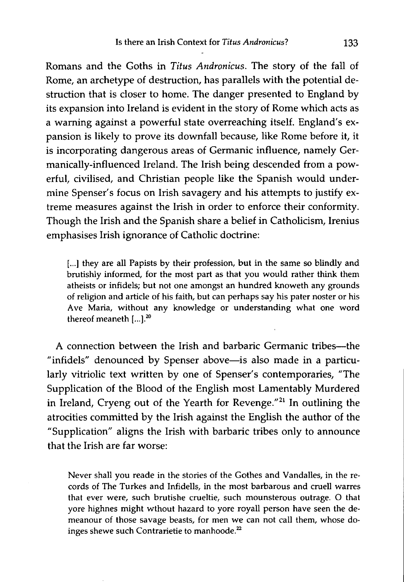Romans and the Goths in *Titus Andronicus.* The story of the fall of Rome, an archetype of destruction, has parallels with the potential destruction that is closer to home. The danger presented to England by its expansion into Ireland is evident in the story of Rome which acts as a warning against a powerful state overreaching itself. England's expansion is likely to prove its downfall because, like Rome before it, it is incorporating dangerous areas of Germanic influence, namely Germanically-influenced Ireland. The Irish being descended from a powerful, civilised, and Christian people like the Spanish would undermine Spenser's focus on Irish savagery and his attempts to justify extreme measures against the Irish in order to enforce their conformity. Though the Irish and the Spanish share a belief in Catholicism, Irenius emphasises Irish ignorance of Catholic doctrine:

[...] they are all Papists by their profession, but in the same so blindly and brutishly informed, for the most part as that you would rather think them atheists or infidels; but not one amongst an hundred knoweth any grounds of religion and article of his faith, but can perhaps say his pater noster or his Ave Maria, without any knowledge or understanding what one word thereof meaneth  $[...]^{20}$ 

A connection between the Irish and barbaric Germanic tribes--the "infidels" denounced by Spenser above-is also made in a particularly vitriolic text written by one of Spenser's contemporaries, "The Supplication of the Blood of the English most Lamentably Murdered in Ireland, Cryeng out of the Yearth for Revenge. $^{\prime\prime}$ <sup>21</sup> In outlining the atrocities committed by the Irish against the English the author of the "Supplication" aligns the Irish with barbaric tribes only to announce that the Irish are far worse:

Never shall you reade in the stories of the Gothes and Vandalles, in the records of The Turkes and Infidells, in the most barbarous and cruell warres that ever were, such brutishe crueltie, such mounsterous outrage. 0 that yore highnes might wthout hazard to yore royall person have seen the demeanour of those savage beasts, for men we can not call them, whose doinges shewe such Contrarietie to manhoode.<sup>22</sup>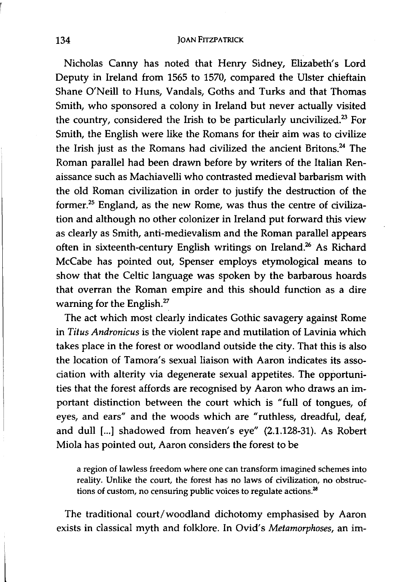Nicholas Canny has noted that Henry Sidney, Elizabeth's Lord Deputy in Ireland from 1565 to 1570, compared the Ulster chieftain Shane O'Neill to Huns, Vandals, Goths and Turks and that Thomas Smith, who sponsored a colony in Ireland but never actually visited the country, considered the Irish to be particularly uncivilized.<sup>23</sup> For Smith, the English were like the Romans for their aim was to civilize the Irish just as the Romans had civilized the ancient Britons.<sup>24</sup> The Roman parallel had been drawn before by writers of the Italian Renaissance such as Machiavelli who contrasted medieval barbarism with the old Roman civilization in order to justify the destruction of the former.25 England, as the new Rome, was thus the centre of civilization and although no other colonizer in Ireland put forward this view as clearly as Smith, anti-medievalism and the Roman parallel appears often in sixteenth-century English writings on Ireland.<sup>26</sup> As Richard McCabe has pointed out, Spenser employs etymological means to show that the Celtic language was spoken by the barbarous hoards that overran the Roman empire and this should function as a dire warning for the English.<sup>27</sup>

The act which most clearly indicates Gothic savagery against Rome in *Titus Andronicus* is the violent rape and mutilation of Lavinia which takes place in the forest or woodland outside the city. That this is also the location of Tamora's sexual liaison with Aaron indicates its association with alterity via degenerate sexual appetites. The opportunities that the forest affords are recognised by Aaron who draws an important distinction between the court which is "full of tongues, of eyes, and ears" and the woods which are "ruthless, dreadful, deaf, and dull [...] shadowed from heaven's eye" (2.1.128-31). As Robert Miola has pointed out, Aaron considers the forest to be

a region of lawless freedom where one can transform imagined schemes into reality. Unlike the court, the forest has no laws of civilization, no obstructions of custom, no censuring public voices to regulate actions. $^{28}$ 

The traditional court/woodland dichotomy emphasised by Aaron exists in classical myth and folklore. In Ovid's *Metamorphoses,* an im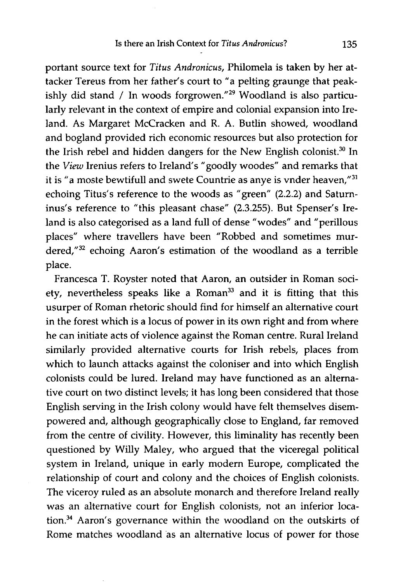portant source text for *Titus Andronicus,* Philomela is taken by her attacker Tereus from her father's court to "a pelting graunge that peakishly did stand / In woods forgrowen."<sup>29</sup> Woodland is also particularly relevant in the context of empire and colonial expansion into Ireland. As Margaret McCracken and R. A. Butlin showed, woodland and bogland provided rich economic resources but also protection for the Irish rebel and hidden dangers for the New English colonist.<sup>30</sup> In the *View* Irenius refers to Ireland's" goodly woodes" and remarks that it is "a moste bewtifull and swete Countrie as anye is vnder heaven,"<sup>31</sup> echoing Titus's reference to the woods as "green" (2.2.2) and Saturninus's reference to "this pleasant chase" (2.3.255). But Spenser's Ireland is also categorised as a land full of dense "wodes" and "perillous places" where travellers have been "Robbed and sometimes murdered,"<sup>32</sup> echoing Aaron's estimation of the woodland as a terrible place.

Francesca T. Royster noted that Aaron, an outsider in Roman society, nevertheless speaks like a Roman<sup>33</sup> and it is fitting that this usurper of Roman rhetoric should find for himself an alternative court in the forest which is a locus of power in its own right and from where he can initiate acts of violence against the Roman centre. Rural Ireland similarly provided alternative courts for Irish rebels, places from which to launch attacks against the coloniser and into which English colonists could be lured. Ireland may have functioned as an alternative court on two distinct levels; it has long been considered that those English serving in the Irish colony would have felt themselves disempowered and, although geographically close to England, far removed from the centre of civility. However, this liminality has recently been questioned by Willy Maley, who argued that the viceregal political system in Ireland, unique in early modern Europe, complicated the relationship of court and colony and the choices of English colonists. The viceroy ruled as an absolute monarch and therefore Ireland really was an alternative court for English colonists, not an inferior location.34 Aaron's governance within the woodland on the outskirts of Rome matches woodland as an alternative locus of power for those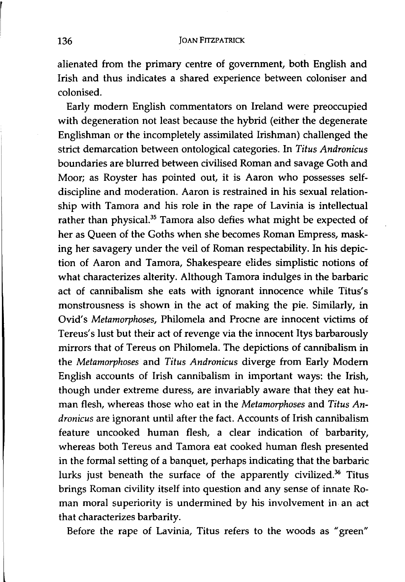alienated from the primary centre of government, both English and Irish and thus indicates a shared experience between coloniser and colonised.

Early modem English commentators on Ireland were preoccupied with degeneration not least because the hybrid (either the degenerate Englishman or the incompletely assimilated Irishman) challenged the strict demarcation between ontological categories. In *Titus Andronicus*  boundaries are blurred between civilised Roman and savage Goth and Moor; as Royster has pointed out, it is Aaron who possesses selfdiscipline and moderation. Aaron is restrained in his sexual relationship with Tamora and his role in the rape of Lavinia is intellectual rather than physical.<sup>35</sup> Tamora also defies what might be expected of her as Queen of the Goths when she becomes Roman Empress, masking her savagery under the veil of Roman respectability. In his depiction of Aaron and Tamora, Shakespeare elides simplistic notions of what characterizes alterity. Although Tamora indulges in the barbaric act of cannibalism she eats with ignorant innocence while Titus's monstrousness is shown in the act of making the pie. Similarly, in Ovid's *Metamorphoses,* Philomela and Procne are innocent victims of Tereus's lust but their act of revenge via the innocent Itys barbarously mirrors that of Tereus on Philomela. The depictions of cannibalism in the *Metamorphoses* and *Titus Andronicus* diverge from Early Modem English accounts of Irish cannibalism in important ways: the Irish, though under extreme duress, are invariably aware that they eat human flesh, whereas those who eat in the *Metamorphoses* and *Titus Andronicus* are ignorant until after the fact. Accounts of Irish cannibalism feature uncooked human flesh, a clear indication of barbarity, whereas both Tereus and Tamora eat cooked human flesh presented in the formal setting of a banquet, perhaps indicating that the barbaric lurks just beneath the surface of the apparently civilized.<sup>36</sup> Titus brings Roman civility itself into question and any sense of innate Roman moral superiority is undermined by his involvement in an act that characterizes barbarity.

Before the rape of Lavinia, Titus refers to the woods as "green"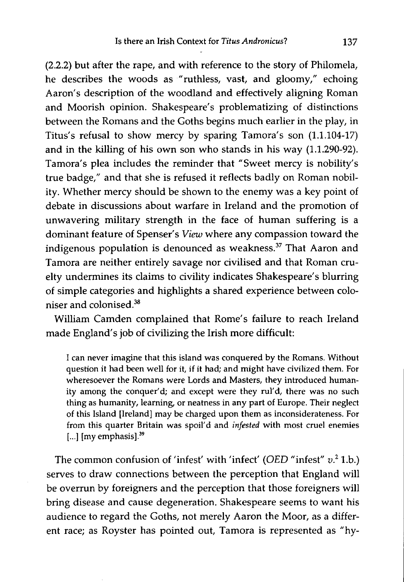(2.2.2) but after the rape, and with reference to the story of Philomela, he describes the woods as "ruthless, vast, and gloomy," echoing Aaron's description of the woodland and effectively aligning Roman and Moorish opinion. Shakespeare's problematizing of distinctions between the Romans and the Goths begins much earlier in the play, in Titus's refusal to show mercy by sparing Tamora's son (1.1.104-17) and in the killing of his own son who stands in his way (1.1.290-92). Tamora's plea includes the reminder that "Sweet mercy is nobility's true badge," and that she is refused it reflects badly on Roman nobility. Whether mercy should be shown to the enemy was a key point of debate in discussions about warfare in Ireland and the promotion of unwavering military strength in the face of human suffering is a dominant feature of Spenser's *View* where any compassion toward the indigenous population is denounced as weakness.<sup>37</sup> That Aaron and Tamora are neither entirely savage nor civilised and that Roman cruelty undermines its claims to civility indicates Shakespeare's blurring of simple categories and highlights a shared experience between coloniser and colonised.38

William Camden complained that Rome's failure to reach Ireland made England's job of civilizing the Irish more difficult:

I can never imagine that this island was conquered by the Romans. Without question it had been well for it, if it had; and might have civilized them. For wheresoever the Romans were Lords and Masters, they introduced humanity among the conquer'd; and except were they rul'd, there was no such thing as humanity, learning, or neatness in any part of Europe. Their neglect of this Island [Ireland] may be charged upon them as inconsiderateness. For from this quarter Britain was spoil'd and *infested* with most cruel enemies  $[...]$  [my emphasis]. $^{39}$ 

The common confusion of 'infest' with 'infect' *(OED* "infest" *v.2* Lb.) serves to draw connections between the perception that England will be overrun by foreigners and the perception that those foreigners will bring disease and cause degeneration. Shakespeare seems to want his audience to regard the Goths, not merely Aaron the Moor, as a different race; as Royster has pointed out, Tamora is represented as "hy-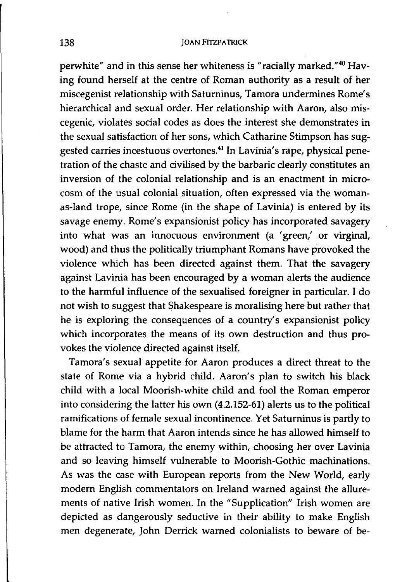perwhite" and in this sense her whiteness is "racially marked."<sup>40</sup> Having found herself at the centre of Roman authority as a result of her miscegenist relationship with Saturninus, Tamora undermines Rome's hierarchical and sexual order. Her relationship with Aaron, also miscegenic, violates social codes as does the interest she demonstrates in the sexual satisfaction of her sons, which Catharine Stimpson has suggested carries incestuous overtones.<sup>41</sup> In Lavinia's rape, physical penetration of the chaste and civilised by the barbaric clearly constitutes an inversion of the colonial relationship and is an enactment in microcosm of the usual colonial situation, often expressed via the womanas-land trope, since Rome (in the shape of Lavinia) is entered by its savage enemy. Rome's expansionist policy has incorporated savagery into what was an innocuous environment (a 'green,' or virginal, wood) and thus the politically triumphant Romans have provoked the violence which has been directed against them. That the savagery against Lavinia has been encouraged by a woman alerts the audience to the harmful influence of the sexualised foreigner in particular. I do not wish to suggest that Shakespeare is moralising here but rather that he is exploring the consequences of a country's expansionist policy which incorporates the means of its own destruction and thus provokes the violence directed against itself.

Tamora's sexual appetite for Aaron produces a direct threat to the state of Rome via a hybrid child. Aaron's plan to switch his black child with a local Moorish-white child and fool the Roman emperor into considering the latter his own (4.2.152-61) alerts us to the political ramifications of female sexual incontinence. Yet Saturninus is partly to blame for the harm that Aaron intends since he has allowed himself to be attracted to Tamora, the enemy within, choosing her over Lavinia and so leaving himself vulnerable to Moorish-Gothic machinations. As was the case with European reports from the New World, early modem English commentators on Ireland warned against the allurements of native Irish women. In the "Supplication" Irish women are depicted as dangerously seductive in their ability to make English men degenerate, John Derrick warned colonialists to beware of be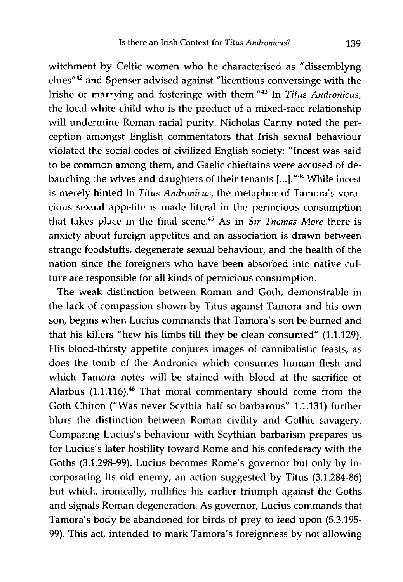witchment by Celtic women who he characterised as "dissemblyng elues"42 and Spenser advised against "licentious conversinge with the Irishe or marrying and fosteringe with them."43 In *Titus Andronicus,*  the local white child who is the product of a mixed-race relationship will undermine Roman racial purity. Nicholas Canny noted the perception amongst English commentators that Irish sexual behaviour violated the social codes of civilized English society: "Incest was said to be common among them, and Gaelic chieftains were accused of debauching the wives and daughters of their tenants [...]."<sup>44</sup> While incest is merely hinted in *Titus Andronicus,* the metaphor of Tamora's voracious sexual appetite is made literal in the pernicious consumption that takes place in the final scene.45 As in *Sir Thomas More* there is anxiety about foreign appetites and an association is drawn between strange foodstuffs, degenerate sexual behaviour, and the health of the nation since the foreigners who have been absorbed into native culture are responsible for all kinds of pernicious consumption.

The weak distinction between Roman and Goth, demonstrable in the lack of compassion shown by Titus against Tamora and his own son, begins when Lucius commands that Tamora's son be burned and that his killers "hew his limbs till they be clean consumed" (1.1.129). His blood-thirsty appetite conjures images of cannibalistic feasts, as does the tomb of the Andronici which consumes human flesh and which Tamora notes will be stained with blood at the sacrifice of Alarbus (1.1.116).<sup>46</sup> That moral commentary should come from the Goth Chiron ("Was never Scythia half so barbarous" 1.1.131) further blurs the distinction between Roman civility and Gothic savagery. Comparing Lucius's behaviour with Scythian barbarism prepares us for Lucius's later hostility toward Rome and his confederacy with the Goths (3.1.298-99). Lucius becomes Rome's governor but only by incorporating its old enemy, an action suggested by Titus (3.1.284-86) but which, ironically, nullifies his earlier triumph against the Goths and signals Roman degeneration. As governor, Lucius commands that Tamora's body be abandoned for birds of prey to feed upon (5.3.195- 99). This act, intended to mark Tamora's foreignness by not allowing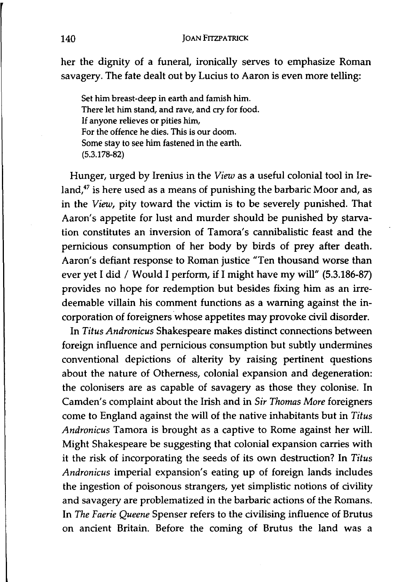her the dignity of a funeral, ironically serves to emphasize Roman savagery. The fate dealt out by Lucius to Aaron is even more telling:

Set him breast-deep in earth and famish him. There let him stand, and rave, and cry for food. If anyone relieves or pities him, For the offence he dies. This is our doom. Some stay to see him fastened in the earth. (5.3.178-82)

Hunger, urged by Irenius in the *View* as a useful colonial tool in Ireland, $47$  is here used as a means of punishing the barbaric Moor and, as in the *View,* pity toward the victim is to be severely punished. That Aaron's appetite for lust and murder should be punished by starvation constitutes an inversion of Tamora's cannibalistic feast and the pernicious consumption of her body by birds of prey after death. Aaron's defiant response to Roman justice "Ten thousand worse than ever yet I did / Would I perform, if I might have my will" (5.3.186-87) provides no hope for redemption but besides fixing him as an irredeemable villain his comment functions as a warning against the incorporation of foreigners whose appetites may provoke civil disorder.

In *Titus Andronicus* Shakespeare makes distinct connections between foreign influence and pernicious consumption but subtly undermines conventional depictions of alterity by raising pertinent questions about the nature of Otherness, colonial expansion and degeneration: the colonisers are as capable of savagery as those they colonise. In Camden's complaint about the Irish and in *Sir Thomas More* foreigners come to England against the will of the native inhabitants but in *Titus Andronicus* Tamora is brought as a captive to Rome against her will. Might Shakespeare be suggesting that colonial expansion carries with it the risk of incorporating the seeds of its own destruction? In *Titus Andronicus* imperial expansion's eating up of foreign lands includes the ingestion of poisonous strangers, yet simplistic notions of civility and savagery are problematized in the barbaric actions of the Romans. In *The Faerie Queene* Spenser refers to the civilising influence of Brutus on ancient Britain. Before the coming of Brutus the land was a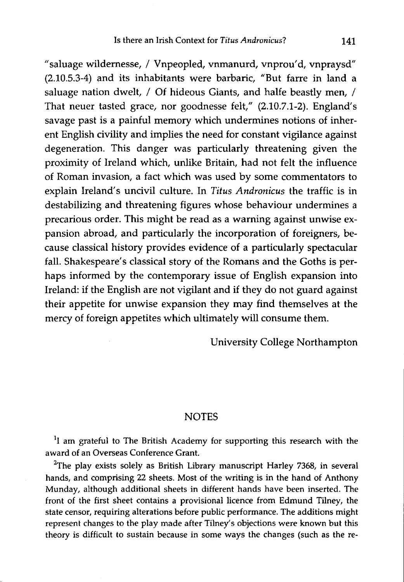"saluage wildernesse, / Vnpeopled, vnmanurd, vnprou'd, vnpraysd" (2.10.5.3-4) and its inhabitants were barbaric, "But farre in land a saluage nation dwelt, / Of hideous Giants, and halfe beastly men, / That neuer tasted grace, nor goodnesse felt," (2.10.7.1-2). England's savage past is a painful memory which undermines notions of inherent English civility and implies the need for constant vigilance against degeneration. This danger was particularly threatening given the proximity of Ireland which, unlike Britain, had not felt the influence of Roman invasion, a fact which was used by some commentators to explain Ireland's uncivil culture. In *Titus Andronicus* the traffic is in destabilizing and threatening figures whose behaviour undermines a precarious order. This might be read as a warning against unwise expansion abroad, and particularly the incorporation of foreigners, because classical history provides evidence of a particularly spectacular fall. Shakespeare's classical story of the Romans and the Goths is perhaps informed by the contemporary issue of English expansion into Ireland: if the English are not vigilant and if they do not guard against their appetite for unwise expansion they may find themselves at the mercy of foreign appetites which ultimately will consume them.

University College Northampton

## **NOTES**

<sup>1</sup>I am grateful to The British Academy for supporting this research with the award of an Overseas Conference Grant.

 $2$ The play exists solely as British Library manuscript Harley 7368, in several hands, and comprising 22 sheets. Most of the writing is in the hand of Anthony Munday, although additional sheets in different hands have been inserted. The front of the first sheet contains a provisional licence from Edmund Tilney, the state censor, requiring alterations before public performance. The additions might represent changes to the play made after Tilney's objections were known but this theory is difficult to sustain because in some ways the changes (such as the re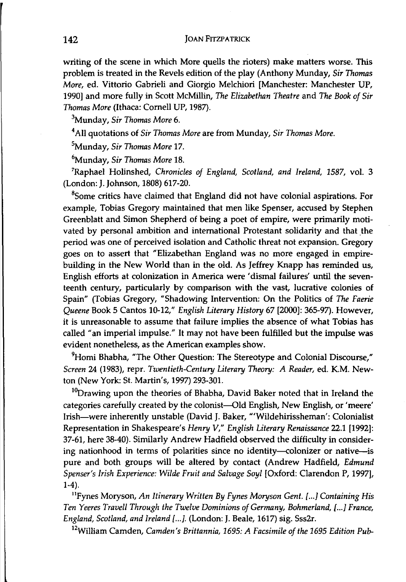writing of the scene in which More quells the rioters) make matters worse. This problem is treated in the Revels edition of the play (Anthony Munday, *Sir Thomas More,* ed. Vittorio Gabrieli and Giorgio Melchiori [Manchester: Manchester UP, 1990] and more fully in Scott McMillin, *The Elizabethan Theatre* and *The Book of Sir Thomas More* (Ithaca: Cornell UP, 1987).

3Munday, *Sir Thomas More 6.* 

4 All quotations of *Sir Thomas More* are from Munday, *Sir Thomas More.* 

5Munday, *Sir Thomas More 17.* 

6Munday, *Sir Thomas More 18.* 

7Raphael Holinshed, *Chronicles of England, Scotland, and Ireland,* 1587, vol. 3 (London: J. Johnson, 1808) 617-20.

 $8$ Some critics have claimed that England did not have colonial aspirations. For example, Tobias Gregory maintained that men like Spenser, accused by Stephen Greenblatt and Simon Shepherd of being a poet of empire, were primarily motivated by personal ambition and international Protestant solidarity and that the period was one of perceived isolation and Catholic threat not expansion. Gregory goes on to assert that "Elizabethan England was no more engaged in empirebuilding in the New World than in the old. As Jeffrey Knapp has reminded us, English efforts at colonization in America were' dismal failures' until the seventeenth century, particularly by comparison with the vast, lucrative colonies of Spain" (Tobias Gregory, "Shadowing Intervention: On the Politics of *The Faerie Queene* Book 5 Cantos 10-12," *English Literary History* 67 [2000]: 365-97). However, it is unreasonable to assume that failure implies the absence of what Tobias has called "an imperial impulse." It may not have been fulfilled but the impulse was evident nonetheless, as the American examples show.

<sup>9</sup>Homi Bhabha, "The Other Question: The Stereotype and Colonial Discourse," *Screen* 24 (1983), repr. *Twentieth-Century Literary Theory: A Reader,* ed. K.M. Newton (New York: St. Martin's, 1997) 293-30l.

 $10$ Drawing upon the theories of Bhabha, David Baker noted that in Ireland the categories carefully created by the colonist-Old English, New English, or 'meere' Irish-were inherently unstable (David J. Baker, '"Wildehirissheman': Colonialist Representation in Shakespeare's *Henry V," English Literary Renaissance* 22.1 [1992]: 37-61, here 38-40). Similarly Andrew Hadfield observed the difficulty in considering nationhood in terms of polarities since no identity-colonizer or native-is pure and both groups will be altered by contact (Andrew Hadfield, *Edmund Spenser's Irish Experience: Wilde Fruit and Salvage Soyl* [Oxford: Clarendon P, 1997], 1-4).

lIPynes Moryson, *An Itinerary Written By Fynes Moryson Gent. l ... ] Containing* His *Ten Yeeres Travell Through the Twelve Dominions of Germany, Bohmerland, [...] France, England, Scotland, and Ireland l ... ].* (London: J. Beale, 1617) sig. Sss2r.

12William Cam den, *Camden's Brittannia,* 1695: *A Facsimile of the* 1695 *Edition Pub-*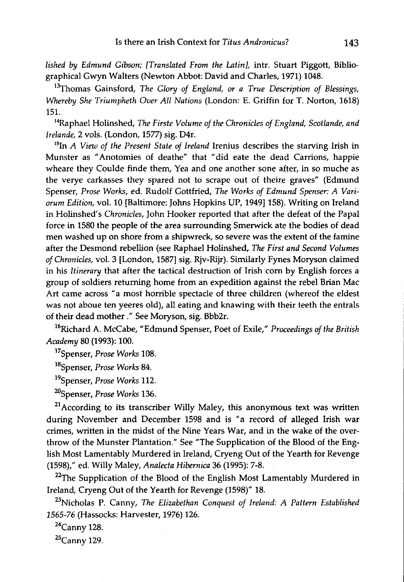*lished by Edmund Gibson; [Translated From the Latin},* intr. Stuart Piggott, Bibliographical Gwyn Walters (Newton Abbot: David and Charles, 1971) 1048.

<sup>13</sup>Thomas Gainsford, *The Glory of England*, or a True Description of Blessings, *Whereby She Triumpheth Over All Nations* (London: E. Griffin for T. Norton, 1618) 151.

14Raphael Holinshed, *The Firste Volume of the Chronicles of England, Scotlande, and lrelande,* 2 vols. (London, 1577) sig. D4r.

15In *A View of the Present State of Ireland* Irenius describes the starving Irish in Munster as "Anotomies of deathe" that "did eate the dead Carrions, happie wheare they Coulde finde them, Yea and one another sone after, in so muche as the verye carkasses they spared not to scrape out of theire graves" (Edmund Spenser, *Prose Works,* ed. Rudolf Gottfried, *The Works of Edmund Spenser: A Variorum Edition,* vol. 10 [Baltimore: Johns Hopkins UP, 1949]158). Writing on Ireland in Holinshed's *Chronicles,* John Hooker reported that after the defeat of the Papal force in 1580 the people of the area surrounding Smerwick ate the bodies of dead men washed up on shore from a shipwreck, so severe was the extent of the famine after the Desmond rebellion (see Raphael Holinshed, *The First and Second Volumes of Chronicles,* vol. 3 [London, 1587] sig. Rjv-Rijr). Similarly Fynes Moryson claimed in his *Itinerary* that after the tactical destruction of Irish corn by English forces a group of soldiers returning home from an expedition against the rebel Brian Mac Art came across "a most horrible spectacle of three children (whereof the eldest was not aboue ten yeeres old), all eating and knawing with their teeth the entrals of their dead mother ." See Moryson, sig. Bbb2r.

16Richard A. McCabe, "Edmund Spenser, Poet of Exile," *Proceedings of the British Academy* 80 (1993): 100.

17Spenser, *Prose Works 108.* 

18Spenser, *Prose Works 84.* 

19Spenser, *Prose Works 112.* 

20Spenser, *Prose Works 136.* 

 $21$ According to its transcriber Willy Maley, this anonymous text was written during November and December 1598 and is "a record of alleged Irish war crimes, written in the midst of the Nine Years War, and in the wake of the overthrow of the Munster Plantation." See "The Supplication of the Blood of the English Most Lamentably Murdered in Ireland, Cryeng Out of the Yearth for Revenge (1598)," ed. Willy Maley, *Analecta Hibernica* 36 (1995): 7-8.

 $22$ The Supplication of the Blood of the English Most Lamentably Murdered in Ireland, Cryeng Out of the Yearth for Revenge (1598)" 18.

23Nicholas P. Canny, *The Elizabethan Conquest of Ireland: A Pattern Established*  1565-76 (Hassocks: Harvester, 1976) 126.

 $24$ Canny 128.

 $25$ Canny 129.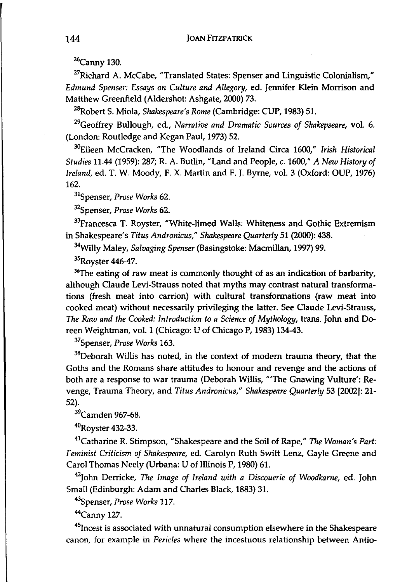26Canny 130.

<sup>27</sup>Richard A. McCabe, "Translated States: Spenser and Linguistic Colonialism," *Edmund Spenser: Essays on Culture and Allegory,* ed. Jennifer Klein Morrison and Matthew Greenfield (Aldershot: Ashgate, 2000) 73.

28Robert S. Miola, *Shakespeare's Rome* (Cambridge: CUP, 1983) 51.

29Geoffrey Bullough, ed., *Narrative and Dramatic Sources of Shakepseare,* vol. 6. (London: Routledge and Kegan Paul, 1973) 52.

30Eileen McCracken, "The Woodlands of Ireland Circa 1600," *Irish Historical Studies* 11.44 (1959): 287; R. A. Butlin, "Land and People, c. 1600," *A New History of Ireland,* ed. T. W. Moody, F. X. Martin and F. J. Byrne, vol. 3 (Oxford: OUP, 1976) 162.

31Spenser, *Prose Works 62.* 

32Spenser, *Prose Works 62.* 

<sup>33</sup>Francesca T. Royster, "White-limed Walls: Whiteness and Gothic Extremism in Shakespeare's *Titus Andronicus," Shakespeare Quarterly* 51 (2000): 438.

34Willy Maley, *Salvaging Spenser* (Basingstoke: Macmillan, 1997) 99.

35Royster 446-47.

 $36$ The eating of raw meat is commonly thought of as an indication of barbarity, although Claude Levi-Strauss noted that myths may contrast natural transformations (fresh meat into carrion) with cultural transformations (raw meat into cooked meat) without necessarily privileging the latter. See Claude Levi-Strauss, *The Raw and the Cooked: Introduction to a Science of Mythology,* trans. John and Doreen Weightman, vol. 1 (Chicago: U of Chicago P, 1983) 134-43.

37Spenser, *Prose Works 163.* 

<sup>38</sup>Deborah Willis has noted, in the context of modern trauma theory, that the Goths and the Romans share attitudes to honour and revenge and the actions of both are a response to war trauma (Deborah Willis, "'The Gnawing Vulture': Revenge, Trauma Theory, and *Titus Andronicus," Shakespeare Quarterly* 53 [2002]: 21- 52).

<sup>39</sup>Camden 967-68.

4ORoyster 432-33.

41Catharine R. Stimpson, "Shakespeare and the Soil of Rape," *The Woman's Part: Feminist Criticism of Shakespeare,* ed. Carolyn Ruth Swift Lenz, Gayle Greene and Carol Thomas Neely (Urbana: U of Illinois P, 1980) 61.

42John Oerricke, *The Image of Ireland with a Discouerie of Woodkarne,* ed. John Small (Edinburgh: Adam and Charles Black, 1883) 31.

43Spenser, *Prose Works 117.* 

44Canny 127.

<sup>45</sup> Incest is associated with unnatural consumption elsewhere in the Shakespeare canon, for example in *Pericles* where the incestuous relationship between Antio